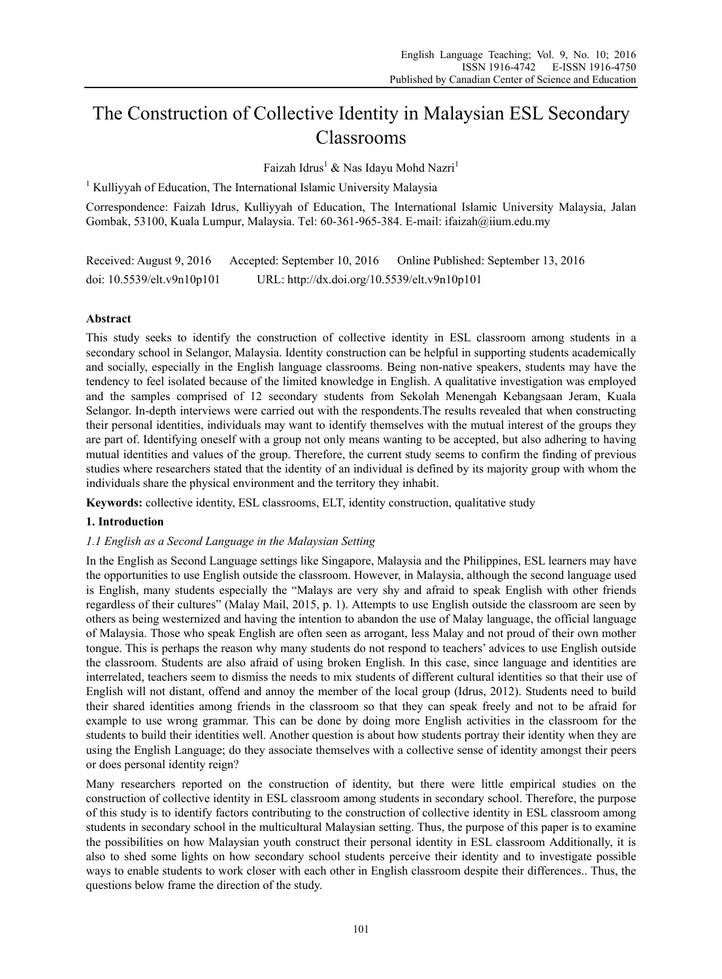# The Construction of Collective Identity in Malaysian ESL Secondary Classrooms

Faizah Idrus<sup>1</sup> & Nas Idayu Mohd Nazri<sup>1</sup>

<sup>1</sup> Kulliyyah of Education, The International Islamic University Malaysia

Correspondence: Faizah Idrus, Kulliyyah of Education, The International Islamic University Malaysia, Jalan Gombak, 53100, Kuala Lumpur, Malaysia. Tel: 60-361-965-384. E-mail: ifaizah@iium.edu.my

Received: August 9, 2016 Accepted: September 10, 2016 Online Published: September 13, 2016 doi: 10.5539/elt.v9n10p101 URL: http://dx.doi.org/10.5539/elt.v9n10p101

# **Abstract**

This study seeks to identify the construction of collective identity in ESL classroom among students in a secondary school in Selangor, Malaysia. Identity construction can be helpful in supporting students academically and socially, especially in the English language classrooms. Being non-native speakers, students may have the tendency to feel isolated because of the limited knowledge in English. A qualitative investigation was employed and the samples comprised of 12 secondary students from Sekolah Menengah Kebangsaan Jeram, Kuala Selangor. In-depth interviews were carried out with the respondents.The results revealed that when constructing their personal identities, individuals may want to identify themselves with the mutual interest of the groups they are part of. Identifying oneself with a group not only means wanting to be accepted, but also adhering to having mutual identities and values of the group. Therefore, the current study seems to confirm the finding of previous studies where researchers stated that the identity of an individual is defined by its majority group with whom the individuals share the physical environment and the territory they inhabit.

**Keywords:** collective identity, ESL classrooms, ELT, identity construction, qualitative study

## **1. Introduction**

## *1.1 English as a Second Language in the Malaysian Setting*

In the English as Second Language settings like Singapore, Malaysia and the Philippines, ESL learners may have the opportunities to use English outside the classroom. However, in Malaysia, although the second language used is English, many students especially the "Malays are very shy and afraid to speak English with other friends regardless of their cultures" (Malay Mail, 2015, p. 1). Attempts to use English outside the classroom are seen by others as being westernized and having the intention to abandon the use of Malay language, the official language of Malaysia. Those who speak English are often seen as arrogant, less Malay and not proud of their own mother tongue. This is perhaps the reason why many students do not respond to teachers' advices to use English outside the classroom. Students are also afraid of using broken English. In this case, since language and identities are interrelated, teachers seem to dismiss the needs to mix students of different cultural identities so that their use of English will not distant, offend and annoy the member of the local group (Idrus, 2012). Students need to build their shared identities among friends in the classroom so that they can speak freely and not to be afraid for example to use wrong grammar. This can be done by doing more English activities in the classroom for the students to build their identities well. Another question is about how students portray their identity when they are using the English Language; do they associate themselves with a collective sense of identity amongst their peers or does personal identity reign?

Many researchers reported on the construction of identity, but there were little empirical studies on the construction of collective identity in ESL classroom among students in secondary school. Therefore, the purpose of this study is to identify factors contributing to the construction of collective identity in ESL classroom among students in secondary school in the multicultural Malaysian setting. Thus, the purpose of this paper is to examine the possibilities on how Malaysian youth construct their personal identity in ESL classroom Additionally, it is also to shed some lights on how secondary school students perceive their identity and to investigate possible ways to enable students to work closer with each other in English classroom despite their differences.. Thus, the questions below frame the direction of the study.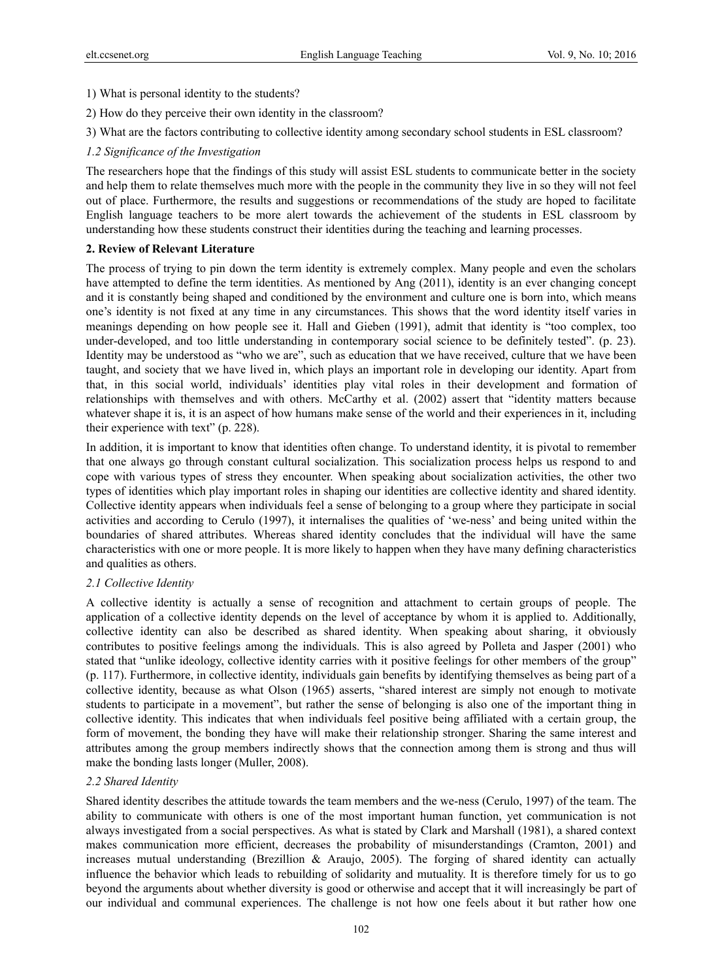- 1) What is personal identity to the students?
- 2) How do they perceive their own identity in the classroom?
- 3) What are the factors contributing to collective identity among secondary school students in ESL classroom?

# *1.2 Significance of the Investigation*

The researchers hope that the findings of this study will assist ESL students to communicate better in the society and help them to relate themselves much more with the people in the community they live in so they will not feel out of place. Furthermore, the results and suggestions or recommendations of the study are hoped to facilitate English language teachers to be more alert towards the achievement of the students in ESL classroom by understanding how these students construct their identities during the teaching and learning processes.

## **2. Review of Relevant Literature**

The process of trying to pin down the term identity is extremely complex. Many people and even the scholars have attempted to define the term identities. As mentioned by Ang (2011), identity is an ever changing concept and it is constantly being shaped and conditioned by the environment and culture one is born into, which means one's identity is not fixed at any time in any circumstances. This shows that the word identity itself varies in meanings depending on how people see it. Hall and Gieben (1991), admit that identity is "too complex, too under-developed, and too little understanding in contemporary social science to be definitely tested". (p. 23). Identity may be understood as "who we are", such as education that we have received, culture that we have been taught, and society that we have lived in, which plays an important role in developing our identity. Apart from that, in this social world, individuals' identities play vital roles in their development and formation of relationships with themselves and with others. McCarthy et al. (2002) assert that "identity matters because whatever shape it is, it is an aspect of how humans make sense of the world and their experiences in it, including their experience with text" (p. 228).

In addition, it is important to know that identities often change. To understand identity, it is pivotal to remember that one always go through constant cultural socialization. This socialization process helps us respond to and cope with various types of stress they encounter. When speaking about socialization activities, the other two types of identities which play important roles in shaping our identities are collective identity and shared identity. Collective identity appears when individuals feel a sense of belonging to a group where they participate in social activities and according to Cerulo (1997), it internalises the qualities of 'we-ness' and being united within the boundaries of shared attributes. Whereas shared identity concludes that the individual will have the same characteristics with one or more people. It is more likely to happen when they have many defining characteristics and qualities as others.

# *2.1 Collective Identity*

A collective identity is actually a sense of recognition and attachment to certain groups of people. The application of a collective identity depends on the level of acceptance by whom it is applied to. Additionally, collective identity can also be described as shared identity. When speaking about sharing, it obviously contributes to positive feelings among the individuals. This is also agreed by Polleta and Jasper (2001) who stated that "unlike ideology, collective identity carries with it positive feelings for other members of the group" (p. 117). Furthermore, in collective identity, individuals gain benefits by identifying themselves as being part of a collective identity, because as what Olson (1965) asserts, "shared interest are simply not enough to motivate students to participate in a movement", but rather the sense of belonging is also one of the important thing in collective identity. This indicates that when individuals feel positive being affiliated with a certain group, the form of movement, the bonding they have will make their relationship stronger. Sharing the same interest and attributes among the group members indirectly shows that the connection among them is strong and thus will make the bonding lasts longer (Muller, 2008).

# *2.2 Shared Identity*

Shared identity describes the attitude towards the team members and the we-ness (Cerulo, 1997) of the team. The ability to communicate with others is one of the most important human function, yet communication is not always investigated from a social perspectives. As what is stated by Clark and Marshall (1981), a shared context makes communication more efficient, decreases the probability of misunderstandings (Cramton, 2001) and increases mutual understanding (Brezillion & Araujo, 2005). The forging of shared identity can actually influence the behavior which leads to rebuilding of solidarity and mutuality. It is therefore timely for us to go beyond the arguments about whether diversity is good or otherwise and accept that it will increasingly be part of our individual and communal experiences. The challenge is not how one feels about it but rather how one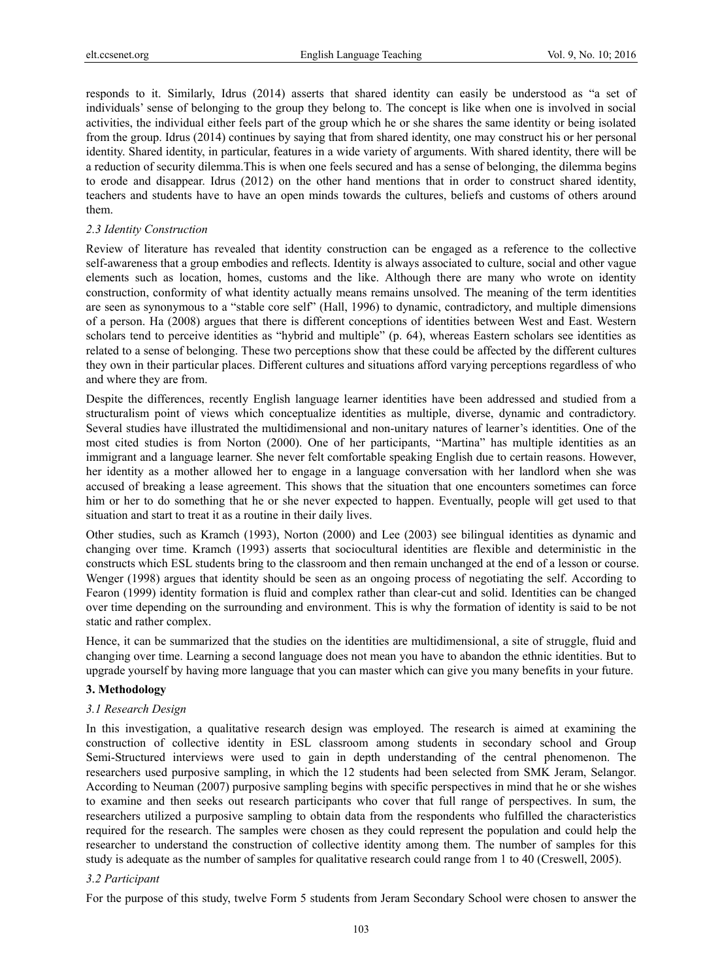responds to it. Similarly, Idrus (2014) asserts that shared identity can easily be understood as "a set of individuals' sense of belonging to the group they belong to. The concept is like when one is involved in social activities, the individual either feels part of the group which he or she shares the same identity or being isolated from the group. Idrus (2014) continues by saying that from shared identity, one may construct his or her personal identity. Shared identity, in particular, features in a wide variety of arguments. With shared identity, there will be a reduction of security dilemma.This is when one feels secured and has a sense of belonging, the dilemma begins to erode and disappear. Idrus (2012) on the other hand mentions that in order to construct shared identity, teachers and students have to have an open minds towards the cultures, beliefs and customs of others around them.

#### *2.3 Identity Construction*

Review of literature has revealed that identity construction can be engaged as a reference to the collective self-awareness that a group embodies and reflects. Identity is always associated to culture, social and other vague elements such as location, homes, customs and the like. Although there are many who wrote on identity construction, conformity of what identity actually means remains unsolved. The meaning of the term identities are seen as synonymous to a "stable core self" (Hall, 1996) to dynamic, contradictory, and multiple dimensions of a person. Ha (2008) argues that there is different conceptions of identities between West and East. Western scholars tend to perceive identities as "hybrid and multiple" (p. 64), whereas Eastern scholars see identities as related to a sense of belonging. These two perceptions show that these could be affected by the different cultures they own in their particular places. Different cultures and situations afford varying perceptions regardless of who and where they are from.

Despite the differences, recently English language learner identities have been addressed and studied from a structuralism point of views which conceptualize identities as multiple, diverse, dynamic and contradictory. Several studies have illustrated the multidimensional and non-unitary natures of learner's identities. One of the most cited studies is from Norton (2000). One of her participants, "Martina" has multiple identities as an immigrant and a language learner. She never felt comfortable speaking English due to certain reasons. However, her identity as a mother allowed her to engage in a language conversation with her landlord when she was accused of breaking a lease agreement. This shows that the situation that one encounters sometimes can force him or her to do something that he or she never expected to happen. Eventually, people will get used to that situation and start to treat it as a routine in their daily lives.

Other studies, such as Kramch (1993), Norton (2000) and Lee (2003) see bilingual identities as dynamic and changing over time. Kramch (1993) asserts that sociocultural identities are flexible and deterministic in the constructs which ESL students bring to the classroom and then remain unchanged at the end of a lesson or course. Wenger (1998) argues that identity should be seen as an ongoing process of negotiating the self. According to Fearon (1999) identity formation is fluid and complex rather than clear-cut and solid. Identities can be changed over time depending on the surrounding and environment. This is why the formation of identity is said to be not static and rather complex.

Hence, it can be summarized that the studies on the identities are multidimensional, a site of struggle, fluid and changing over time. Learning a second language does not mean you have to abandon the ethnic identities. But to upgrade yourself by having more language that you can master which can give you many benefits in your future.

## **3. Methodology**

#### *3.1 Research Design*

In this investigation, a qualitative research design was employed. The research is aimed at examining the construction of collective identity in ESL classroom among students in secondary school and Group Semi-Structured interviews were used to gain in depth understanding of the central phenomenon. The researchers used purposive sampling, in which the 12 students had been selected from SMK Jeram, Selangor. According to Neuman (2007) purposive sampling begins with specific perspectives in mind that he or she wishes to examine and then seeks out research participants who cover that full range of perspectives. In sum, the researchers utilized a purposive sampling to obtain data from the respondents who fulfilled the characteristics required for the research. The samples were chosen as they could represent the population and could help the researcher to understand the construction of collective identity among them. The number of samples for this study is adequate as the number of samples for qualitative research could range from 1 to 40 (Creswell, 2005).

#### *3.2 Participant*

For the purpose of this study, twelve Form 5 students from Jeram Secondary School were chosen to answer the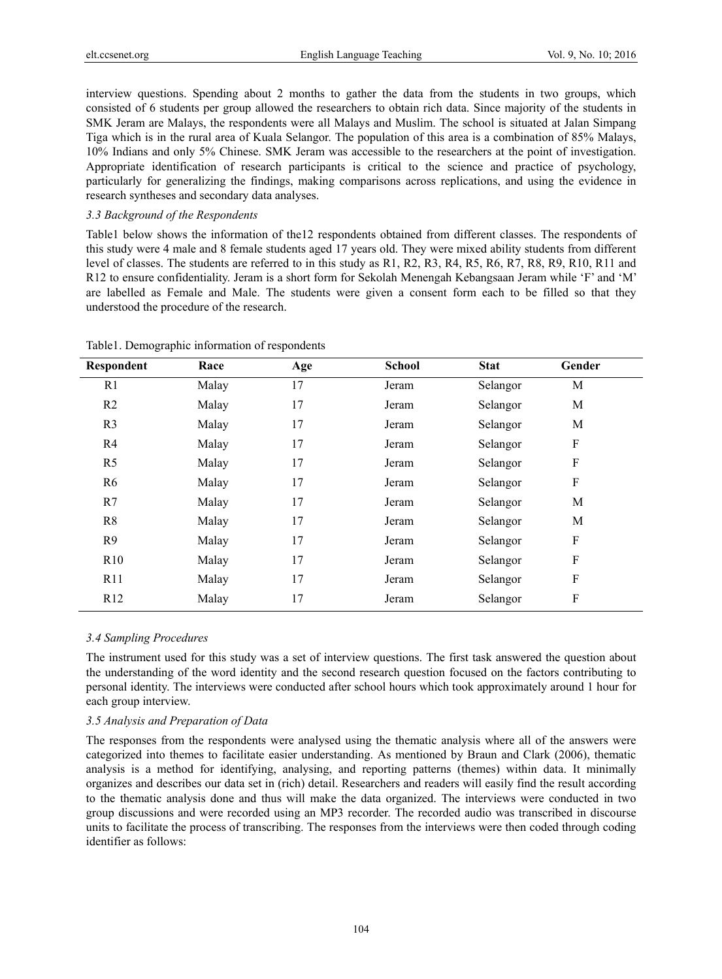interview questions. Spending about 2 months to gather the data from the students in two groups, which consisted of 6 students per group allowed the researchers to obtain rich data. Since majority of the students in SMK Jeram are Malays, the respondents were all Malays and Muslim. The school is situated at Jalan Simpang Tiga which is in the rural area of Kuala Selangor. The population of this area is a combination of 85% Malays, 10% Indians and only 5% Chinese. SMK Jeram was accessible to the researchers at the point of investigation. Appropriate identification of research participants is critical to the science and practice of psychology, particularly for generalizing the findings, making comparisons across replications, and using the evidence in research syntheses and secondary data analyses.

#### *3.3 Background of the Respondents*

Table1 below shows the information of the12 respondents obtained from different classes. The respondents of this study were 4 male and 8 female students aged 17 years old. They were mixed ability students from different level of classes. The students are referred to in this study as R1, R2, R3, R4, R5, R6, R7, R8, R9, R10, R11 and R12 to ensure confidentiality. Jeram is a short form for Sekolah Menengah Kebangsaan Jeram while 'F' and 'M' are labelled as Female and Male. The students were given a consent form each to be filled so that they understood the procedure of the research.

| Respondent      | Race  | Age | <b>School</b> | <b>Stat</b> | Gender    |
|-----------------|-------|-----|---------------|-------------|-----------|
| R1              | Malay | 17  | Jeram         | Selangor    | M         |
| R <sub>2</sub>  | Malay | 17  | Jeram         | Selangor    | M         |
| R <sub>3</sub>  | Malay | 17  | Jeram         | Selangor    | M         |
| R <sub>4</sub>  | Malay | 17  | Jeram         | Selangor    | F         |
| R <sub>5</sub>  | Malay | 17  | Jeram         | Selangor    | ${\bf F}$ |
| R <sub>6</sub>  | Malay | 17  | Jeram         | Selangor    | ${\bf F}$ |
| R7              | Malay | 17  | Jeram         | Selangor    | M         |
| R <sub>8</sub>  | Malay | 17  | Jeram         | Selangor    | M         |
| R <sub>9</sub>  | Malay | 17  | Jeram         | Selangor    | ${\bf F}$ |
| R10             | Malay | 17  | Jeram         | Selangor    | ${\bf F}$ |
| R11             | Malay | 17  | Jeram         | Selangor    | ${\bf F}$ |
| R <sub>12</sub> | Malay | 17  | Jeram         | Selangor    | ${\bf F}$ |

Table1. Demographic information of respondents

## *3.4 Sampling Procedures*

The instrument used for this study was a set of interview questions. The first task answered the question about the understanding of the word identity and the second research question focused on the factors contributing to personal identity. The interviews were conducted after school hours which took approximately around 1 hour for each group interview.

#### *3.5 Analysis and Preparation of Data*

The responses from the respondents were analysed using the thematic analysis where all of the answers were categorized into themes to facilitate easier understanding. As mentioned by Braun and Clark (2006), thematic analysis is a method for identifying, analysing, and reporting patterns (themes) within data. It minimally organizes and describes our data set in (rich) detail. Researchers and readers will easily find the result according to the thematic analysis done and thus will make the data organized. The interviews were conducted in two group discussions and were recorded using an MP3 recorder. The recorded audio was transcribed in discourse units to facilitate the process of transcribing. The responses from the interviews were then coded through coding identifier as follows: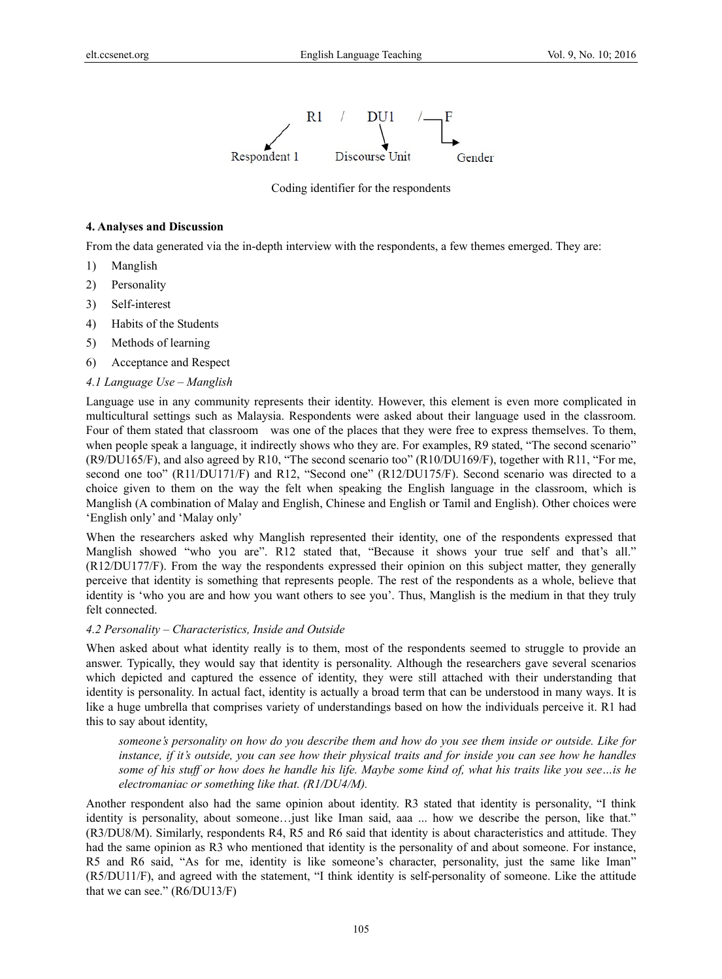

## Coding identifier for the respondents

## **4. Analyses and Discussion**

From the data generated via the in-depth interview with the respondents, a few themes emerged. They are:

- 1) Manglish
- 2) Personality
- 3) Self-interest
- 4) Habits of the Students
- 5) Methods of learning
- 6) Acceptance and Respect
- *4.1 Language Use Manglish*

Language use in any community represents their identity. However, this element is even more complicated in multicultural settings such as Malaysia. Respondents were asked about their language used in the classroom. Four of them stated that classroom was one of the places that they were free to express themselves. To them, when people speak a language, it indirectly shows who they are. For examples, R9 stated, "The second scenario" (R9/DU165/F), and also agreed by R10, "The second scenario too" (R10/DU169/F), together with R11, "For me, second one too" (R11/DU171/F) and R12, "Second one" (R12/DU175/F). Second scenario was directed to a choice given to them on the way the felt when speaking the English language in the classroom, which is Manglish (A combination of Malay and English, Chinese and English or Tamil and English). Other choices were 'English only' and 'Malay only'

When the researchers asked why Manglish represented their identity, one of the respondents expressed that Manglish showed "who you are". R12 stated that, "Because it shows your true self and that's all." (R12/DU177/F). From the way the respondents expressed their opinion on this subject matter, they generally perceive that identity is something that represents people. The rest of the respondents as a whole, believe that identity is 'who you are and how you want others to see you'. Thus, Manglish is the medium in that they truly felt connected.

# *4.2 Personality – Characteristics, Inside and Outside*

When asked about what identity really is to them, most of the respondents seemed to struggle to provide an answer. Typically, they would say that identity is personality. Although the researchers gave several scenarios which depicted and captured the essence of identity, they were still attached with their understanding that identity is personality. In actual fact, identity is actually a broad term that can be understood in many ways. It is like a huge umbrella that comprises variety of understandings based on how the individuals perceive it. R1 had this to say about identity,

*someone's personality on how do you describe them and how do you see them inside or outside. Like for instance, if it's outside, you can see how their physical traits and for inside you can see how he handles some of his stuff or how does he handle his life. Maybe some kind of, what his traits like you see…is he electromaniac or something like that. (R1/DU4/M).* 

Another respondent also had the same opinion about identity. R3 stated that identity is personality, "I think identity is personality, about someone…just like Iman said, aaa ... how we describe the person, like that." (R3/DU8/M). Similarly, respondents R4, R5 and R6 said that identity is about characteristics and attitude. They had the same opinion as R3 who mentioned that identity is the personality of and about someone. For instance, R5 and R6 said, "As for me, identity is like someone's character, personality, just the same like Iman" (R5/DU11/F), and agreed with the statement, "I think identity is self-personality of someone. Like the attitude that we can see." (R6/DU13/F)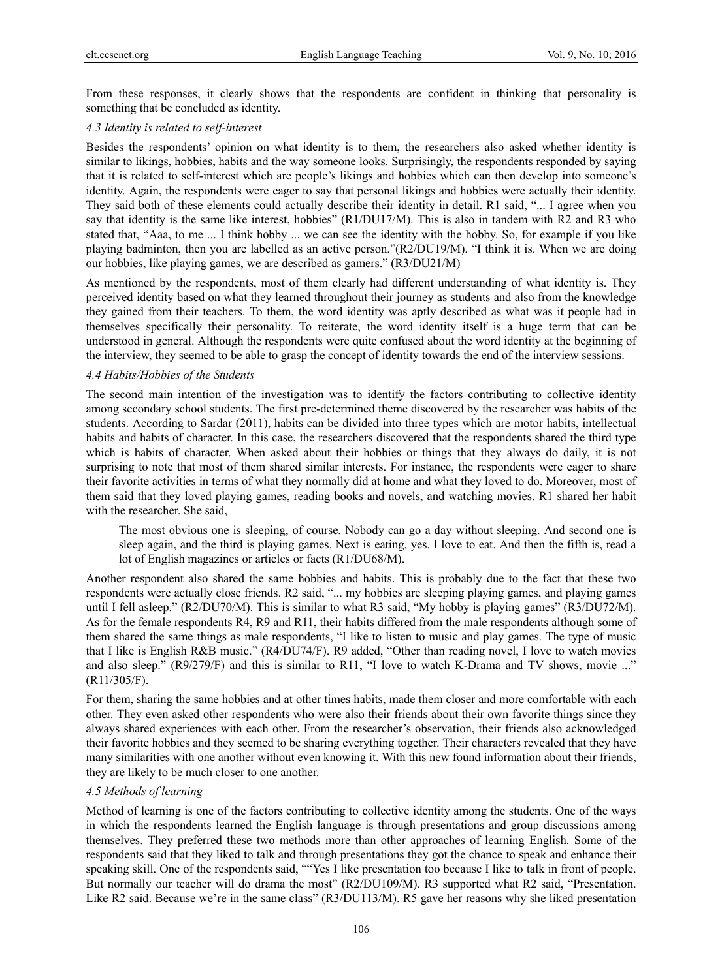From these responses, it clearly shows that the respondents are confident in thinking that personality is something that be concluded as identity.

#### *4.3 Identity is related to self-interest*

Besides the respondents' opinion on what identity is to them, the researchers also asked whether identity is similar to likings, hobbies, habits and the way someone looks. Surprisingly, the respondents responded by saying that it is related to self-interest which are people's likings and hobbies which can then develop into someone's identity. Again, the respondents were eager to say that personal likings and hobbies were actually their identity. They said both of these elements could actually describe their identity in detail. R1 said, "... I agree when you say that identity is the same like interest, hobbies" (R1/DU17/M). This is also in tandem with R2 and R3 who stated that, "Aaa, to me ... I think hobby ... we can see the identity with the hobby. So, for example if you like playing badminton, then you are labelled as an active person."(R2/DU19/M). "I think it is. When we are doing our hobbies, like playing games, we are described as gamers." (R3/DU21/M)

As mentioned by the respondents, most of them clearly had different understanding of what identity is. They perceived identity based on what they learned throughout their journey as students and also from the knowledge they gained from their teachers. To them, the word identity was aptly described as what was it people had in themselves specifically their personality. To reiterate, the word identity itself is a huge term that can be understood in general. Although the respondents were quite confused about the word identity at the beginning of the interview, they seemed to be able to grasp the concept of identity towards the end of the interview sessions.

#### *4.4 Habits/Hobbies of the Students*

The second main intention of the investigation was to identify the factors contributing to collective identity among secondary school students. The first pre-determined theme discovered by the researcher was habits of the students. According to Sardar (2011), habits can be divided into three types which are motor habits, intellectual habits and habits of character. In this case, the researchers discovered that the respondents shared the third type which is habits of character. When asked about their hobbies or things that they always do daily, it is not surprising to note that most of them shared similar interests. For instance, the respondents were eager to share their favorite activities in terms of what they normally did at home and what they loved to do. Moreover, most of them said that they loved playing games, reading books and novels, and watching movies. R1 shared her habit with the researcher. She said,

The most obvious one is sleeping, of course. Nobody can go a day without sleeping. And second one is sleep again, and the third is playing games. Next is eating, yes. I love to eat. And then the fifth is, read a lot of English magazines or articles or facts (R1/DU68/M).

Another respondent also shared the same hobbies and habits. This is probably due to the fact that these two respondents were actually close friends. R2 said, "... my hobbies are sleeping playing games, and playing games until I fell asleep." (R2/DU70/M). This is similar to what R3 said, "My hobby is playing games" (R3/DU72/M). As for the female respondents R4, R9 and R11, their habits differed from the male respondents although some of them shared the same things as male respondents, "I like to listen to music and play games. The type of music that I like is English R&B music." (R4/DU74/F). R9 added, "Other than reading novel, I love to watch movies and also sleep." (R9/279/F) and this is similar to R11, "I love to watch K-Drama and TV shows, movie ..." (R11/305/F).

For them, sharing the same hobbies and at other times habits, made them closer and more comfortable with each other. They even asked other respondents who were also their friends about their own favorite things since they always shared experiences with each other. From the researcher's observation, their friends also acknowledged their favorite hobbies and they seemed to be sharing everything together. Their characters revealed that they have many similarities with one another without even knowing it. With this new found information about their friends, they are likely to be much closer to one another.

#### *4.5 Methods of learning*

Method of learning is one of the factors contributing to collective identity among the students. One of the ways in which the respondents learned the English language is through presentations and group discussions among themselves. They preferred these two methods more than other approaches of learning English. Some of the respondents said that they liked to talk and through presentations they got the chance to speak and enhance their speaking skill. One of the respondents said, ""Yes I like presentation too because I like to talk in front of people. But normally our teacher will do drama the most" (R2/DU109/M). R3 supported what R2 said, "Presentation. Like R2 said. Because we're in the same class" (R3/DU113/M). R5 gave her reasons why she liked presentation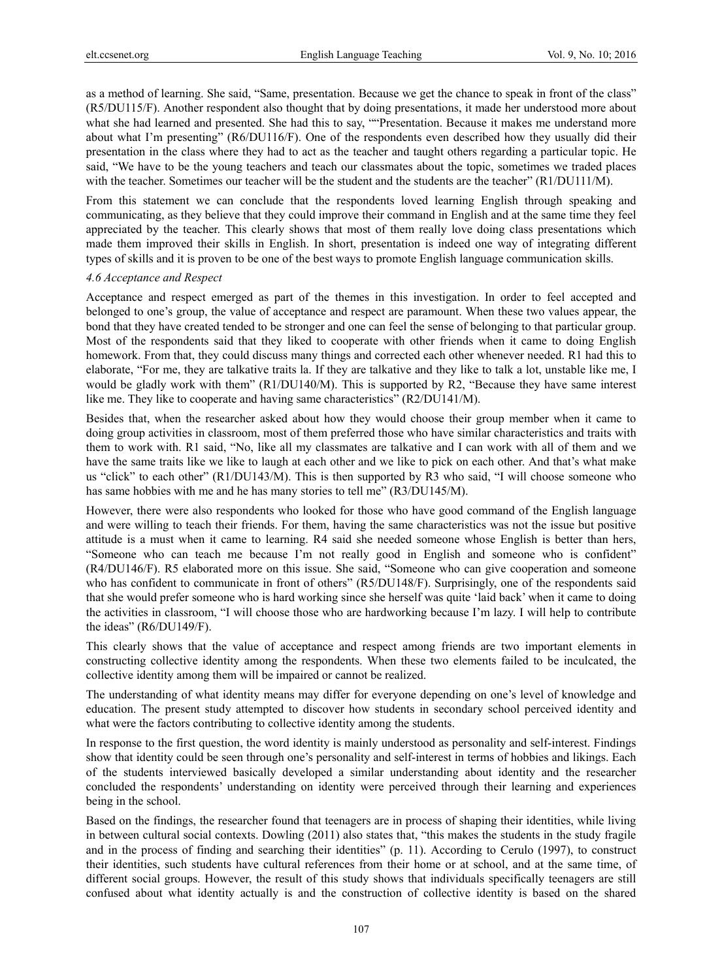as a method of learning. She said, "Same, presentation. Because we get the chance to speak in front of the class" (R5/DU115/F). Another respondent also thought that by doing presentations, it made her understood more about what she had learned and presented. She had this to say, ""Presentation. Because it makes me understand more about what I'm presenting" (R6/DU116/F). One of the respondents even described how they usually did their presentation in the class where they had to act as the teacher and taught others regarding a particular topic. He said, "We have to be the young teachers and teach our classmates about the topic, sometimes we traded places with the teacher. Sometimes our teacher will be the student and the students are the teacher" (R1/DU111/M).

From this statement we can conclude that the respondents loved learning English through speaking and communicating, as they believe that they could improve their command in English and at the same time they feel appreciated by the teacher. This clearly shows that most of them really love doing class presentations which made them improved their skills in English. In short, presentation is indeed one way of integrating different types of skills and it is proven to be one of the best ways to promote English language communication skills.

#### *4.6 Acceptance and Respect*

Acceptance and respect emerged as part of the themes in this investigation. In order to feel accepted and belonged to one's group, the value of acceptance and respect are paramount. When these two values appear, the bond that they have created tended to be stronger and one can feel the sense of belonging to that particular group. Most of the respondents said that they liked to cooperate with other friends when it came to doing English homework. From that, they could discuss many things and corrected each other whenever needed. R1 had this to elaborate, "For me, they are talkative traits la. If they are talkative and they like to talk a lot, unstable like me, I would be gladly work with them" (R1/DU140/M). This is supported by R2, "Because they have same interest like me. They like to cooperate and having same characteristics" (R2/DU141/M).

Besides that, when the researcher asked about how they would choose their group member when it came to doing group activities in classroom, most of them preferred those who have similar characteristics and traits with them to work with. R1 said, "No, like all my classmates are talkative and I can work with all of them and we have the same traits like we like to laugh at each other and we like to pick on each other. And that's what make us "click" to each other" (R1/DU143/M). This is then supported by R3 who said, "I will choose someone who has same hobbies with me and he has many stories to tell me" (R3/DU145/M).

However, there were also respondents who looked for those who have good command of the English language and were willing to teach their friends. For them, having the same characteristics was not the issue but positive attitude is a must when it came to learning. R4 said she needed someone whose English is better than hers, "Someone who can teach me because I'm not really good in English and someone who is confident" (R4/DU146/F). R5 elaborated more on this issue. She said, "Someone who can give cooperation and someone who has confident to communicate in front of others" (R5/DU148/F). Surprisingly, one of the respondents said that she would prefer someone who is hard working since she herself was quite 'laid back' when it came to doing the activities in classroom, "I will choose those who are hardworking because I'm lazy. I will help to contribute the ideas" (R6/DU149/F).

This clearly shows that the value of acceptance and respect among friends are two important elements in constructing collective identity among the respondents. When these two elements failed to be inculcated, the collective identity among them will be impaired or cannot be realized.

The understanding of what identity means may differ for everyone depending on one's level of knowledge and education. The present study attempted to discover how students in secondary school perceived identity and what were the factors contributing to collective identity among the students.

In response to the first question, the word identity is mainly understood as personality and self-interest. Findings show that identity could be seen through one's personality and self-interest in terms of hobbies and likings. Each of the students interviewed basically developed a similar understanding about identity and the researcher concluded the respondents' understanding on identity were perceived through their learning and experiences being in the school.

Based on the findings, the researcher found that teenagers are in process of shaping their identities, while living in between cultural social contexts. Dowling (2011) also states that, "this makes the students in the study fragile and in the process of finding and searching their identities" (p. 11). According to Cerulo (1997), to construct their identities, such students have cultural references from their home or at school, and at the same time, of different social groups. However, the result of this study shows that individuals specifically teenagers are still confused about what identity actually is and the construction of collective identity is based on the shared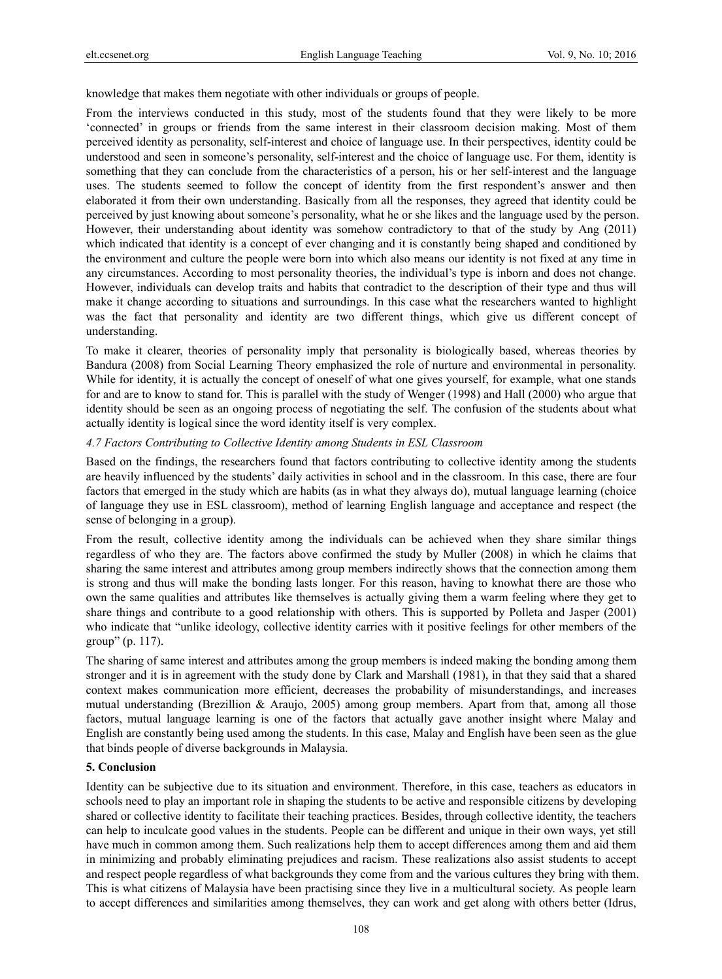knowledge that makes them negotiate with other individuals or groups of people.

From the interviews conducted in this study, most of the students found that they were likely to be more 'connected' in groups or friends from the same interest in their classroom decision making. Most of them perceived identity as personality, self-interest and choice of language use. In their perspectives, identity could be understood and seen in someone's personality, self-interest and the choice of language use. For them, identity is something that they can conclude from the characteristics of a person, his or her self-interest and the language uses. The students seemed to follow the concept of identity from the first respondent's answer and then elaborated it from their own understanding. Basically from all the responses, they agreed that identity could be perceived by just knowing about someone's personality, what he or she likes and the language used by the person. However, their understanding about identity was somehow contradictory to that of the study by Ang (2011) which indicated that identity is a concept of ever changing and it is constantly being shaped and conditioned by the environment and culture the people were born into which also means our identity is not fixed at any time in any circumstances. According to most personality theories, the individual's type is inborn and does not change. However, individuals can develop traits and habits that contradict to the description of their type and thus will make it change according to situations and surroundings. In this case what the researchers wanted to highlight was the fact that personality and identity are two different things, which give us different concept of understanding.

To make it clearer, theories of personality imply that personality is biologically based, whereas theories by Bandura (2008) from Social Learning Theory emphasized the role of nurture and environmental in personality. While for identity, it is actually the concept of oneself of what one gives yourself, for example, what one stands for and are to know to stand for. This is parallel with the study of Wenger (1998) and Hall (2000) who argue that identity should be seen as an ongoing process of negotiating the self. The confusion of the students about what actually identity is logical since the word identity itself is very complex.

# *4.7 Factors Contributing to Collective Identity among Students in ESL Classroom*

Based on the findings, the researchers found that factors contributing to collective identity among the students are heavily influenced by the students' daily activities in school and in the classroom. In this case, there are four factors that emerged in the study which are habits (as in what they always do), mutual language learning (choice of language they use in ESL classroom), method of learning English language and acceptance and respect (the sense of belonging in a group).

From the result, collective identity among the individuals can be achieved when they share similar things regardless of who they are. The factors above confirmed the study by Muller (2008) in which he claims that sharing the same interest and attributes among group members indirectly shows that the connection among them is strong and thus will make the bonding lasts longer. For this reason, having to knowhat there are those who own the same qualities and attributes like themselves is actually giving them a warm feeling where they get to share things and contribute to a good relationship with others. This is supported by Polleta and Jasper (2001) who indicate that "unlike ideology, collective identity carries with it positive feelings for other members of the group" (p. 117).

The sharing of same interest and attributes among the group members is indeed making the bonding among them stronger and it is in agreement with the study done by Clark and Marshall (1981), in that they said that a shared context makes communication more efficient, decreases the probability of misunderstandings, and increases mutual understanding (Brezillion & Araujo, 2005) among group members. Apart from that, among all those factors, mutual language learning is one of the factors that actually gave another insight where Malay and English are constantly being used among the students. In this case, Malay and English have been seen as the glue that binds people of diverse backgrounds in Malaysia.

# **5. Conclusion**

Identity can be subjective due to its situation and environment. Therefore, in this case, teachers as educators in schools need to play an important role in shaping the students to be active and responsible citizens by developing shared or collective identity to facilitate their teaching practices. Besides, through collective identity, the teachers can help to inculcate good values in the students. People can be different and unique in their own ways, yet still have much in common among them. Such realizations help them to accept differences among them and aid them in minimizing and probably eliminating prejudices and racism. These realizations also assist students to accept and respect people regardless of what backgrounds they come from and the various cultures they bring with them. This is what citizens of Malaysia have been practising since they live in a multicultural society. As people learn to accept differences and similarities among themselves, they can work and get along with others better (Idrus,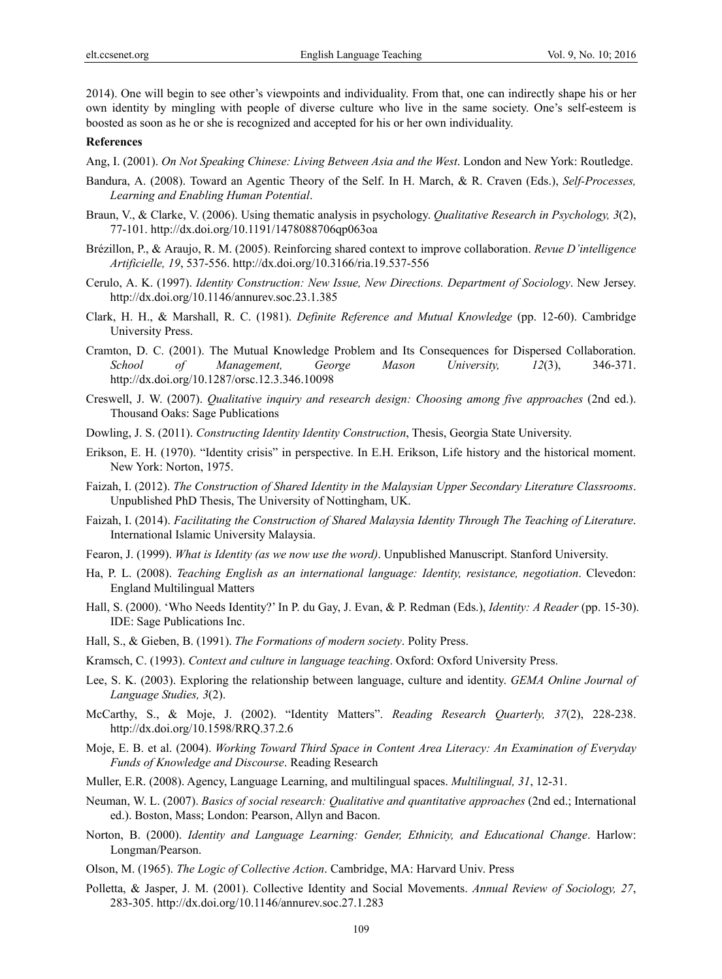2014). One will begin to see other's viewpoints and individuality. From that, one can indirectly shape his or her own identity by mingling with people of diverse culture who live in the same society. One's self-esteem is boosted as soon as he or she is recognized and accepted for his or her own individuality.

## **References**

Ang, I. (2001). *On Not Speaking Chinese: Living Between Asia and the West*. London and New York: Routledge.

- Bandura, A. (2008). Toward an Agentic Theory of the Self. In H. March, & R. Craven (Eds.), *Self-Processes, Learning and Enabling Human Potential*.
- Braun, V., & Clarke, V. (2006). Using thematic analysis in psychology. *Qualitative Research in Psychology, 3*(2), 77-101. http://dx.doi.org/10.1191/1478088706qp063oa
- Brézillon, P., & Araujo, R. M. (2005). Reinforcing shared context to improve collaboration. *Revue D'intelligence Artificielle, 19*, 537-556. http://dx.doi.org/10.3166/ria.19.537-556
- Cerulo, A. K. (1997). *Identity Construction: New Issue, New Directions. Department of Sociology*. New Jersey. http://dx.doi.org/10.1146/annurev.soc.23.1.385
- Clark, H. H., & Marshall, R. C. (1981). *Definite Reference and Mutual Knowledge* (pp. 12-60). Cambridge University Press.
- Cramton, D. C. (2001). The Mutual Knowledge Problem and Its Consequences for Dispersed Collaboration. *School of Management, George Mason University, 12*(3), 346-371. http://dx.doi.org/10.1287/orsc.12.3.346.10098
- Creswell, J. W. (2007). *Qualitative inquiry and research design: Choosing among five approaches* (2nd ed.). Thousand Oaks: Sage Publications
- Dowling, J. S. (2011). *Constructing Identity Identity Construction*, Thesis, Georgia State University.
- Erikson, E. H. (1970). "Identity crisis" in perspective. In E.H. Erikson, Life history and the historical moment. New York: Norton, 1975.
- Faizah, I. (2012). *The Construction of Shared Identity in the Malaysian Upper Secondary Literature Classrooms*. Unpublished PhD Thesis, The University of Nottingham, UK.
- Faizah, I. (2014). *Facilitating the Construction of Shared Malaysia Identity Through The Teaching of Literature*. International Islamic University Malaysia.
- Fearon, J. (1999). *What is Identity (as we now use the word)*. Unpublished Manuscript. Stanford University.
- Ha, P. L. (2008). *Teaching English as an international language: Identity, resistance, negotiation*. Clevedon: England Multilingual Matters
- Hall, S. (2000). 'Who Needs Identity?' In P. du Gay, J. Evan, & P. Redman (Eds.), *Identity: A Reader* (pp. 15-30). IDE: Sage Publications Inc.
- Hall, S., & Gieben, B. (1991). *The Formations of modern society*. Polity Press.
- Kramsch, C. (1993). *Context and culture in language teaching*. Oxford: Oxford University Press.
- Lee, S. K. (2003). Exploring the relationship between language, culture and identity. *GEMA Online Journal of Language Studies, 3*(2).
- McCarthy, S., & Moje, J. (2002). "Identity Matters". *Reading Research Quarterly, 37*(2), 228-238. http://dx.doi.org/10.1598/RRQ.37.2.6
- Moje, E. B. et al. (2004). *Working Toward Third Space in Content Area Literacy: An Examination of Everyday Funds of Knowledge and Discourse*. Reading Research
- Muller, E.R. (2008). Agency, Language Learning, and multilingual spaces. *Multilingual, 31*, 12-31.
- Neuman, W. L. (2007). *Basics of social research: Qualitative and quantitative approaches* (2nd ed.; International ed.). Boston, Mass; London: Pearson, Allyn and Bacon.
- Norton, B. (2000). *Identity and Language Learning: Gender, Ethnicity, and Educational Change*. Harlow: Longman/Pearson.
- Olson, M. (1965). *The Logic of Collective Action*. Cambridge, MA: Harvard Univ. Press
- Polletta, & Jasper, J. M. (2001). Collective Identity and Social Movements. *Annual Review of Sociology, 27*, 283-305. http://dx.doi.org/10.1146/annurev.soc.27.1.283